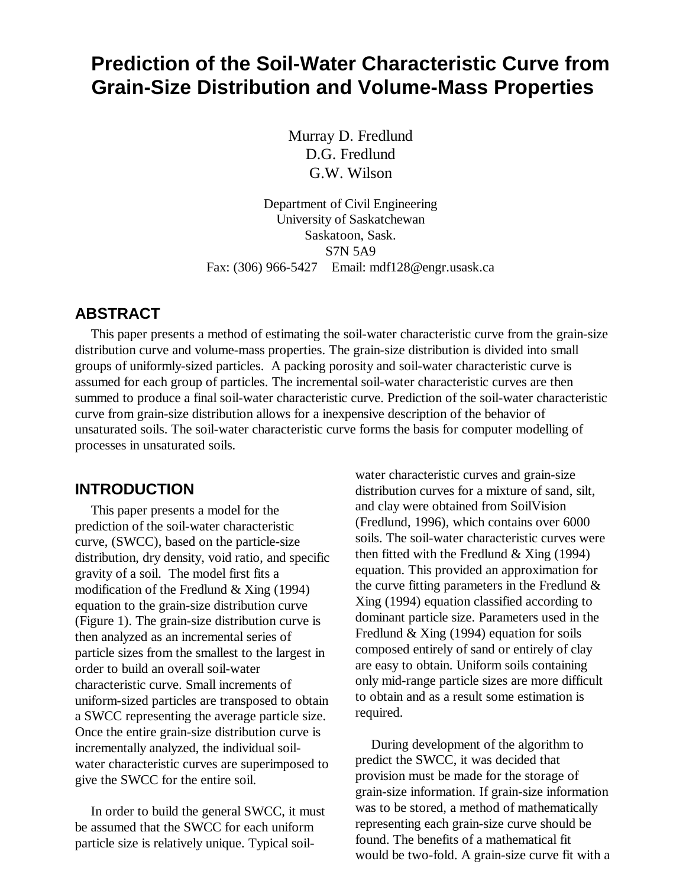# **Prediction of the Soil-Water Characteristic Curve from Grain-Size Distribution and Volume-Mass Properties**

Murray D. Fredlund D.G. Fredlund G.W. Wilson

Department of Civil Engineering University of Saskatchewan Saskatoon, Sask. S7N 5A9 Fax: (306) 966-5427 Email: mdf128@engr.usask.ca

#### **ABSTRACT**

This paper presents a method of estimating the soil-water characteristic curve from the grain-size distribution curve and volume-mass properties. The grain-size distribution is divided into small groups of uniformly-sized particles. A packing porosity and soil-water characteristic curve is assumed for each group of particles. The incremental soil-water characteristic curves are then summed to produce a final soil-water characteristic curve. Prediction of the soil-water characteristic curve from grain-size distribution allows for a inexpensive description of the behavior of unsaturated soils. The soil-water characteristic curve forms the basis for computer modelling of processes in unsaturated soils.

#### **INTRODUCTION**

This paper presents a model for the prediction of the soil-water characteristic curve, (SWCC), based on the particle-size distribution, dry density, void ratio, and specific gravity of a soil. The model first fits a modification of the Fredlund & Xing (1994) equation to the grain-size distribution curve (Figure 1). The grain-size distribution curve is then analyzed as an incremental series of particle sizes from the smallest to the largest in order to build an overall soil-water characteristic curve. Small increments of uniform-sized particles are transposed to obtain a SWCC representing the average particle size. Once the entire grain-size distribution curve is incrementally analyzed, the individual soilwater characteristic curves are superimposed to give the SWCC for the entire soil.

In order to build the general SWCC, it must be assumed that the SWCC for each uniform particle size is relatively unique. Typical soil-

water characteristic curves and grain-size distribution curves for a mixture of sand, silt, and clay were obtained from SoilVision (Fredlund, 1996), which contains over 6000 soils. The soil-water characteristic curves were then fitted with the Fredlund  $& Xing (1994)$ equation. This provided an approximation for the curve fitting parameters in the Fredlund  $\&$ Xing (1994) equation classified according to dominant particle size. Parameters used in the Fredlund & Xing (1994) equation for soils composed entirely of sand or entirely of clay are easy to obtain. Uniform soils containing only mid-range particle sizes are more difficult to obtain and as a result some estimation is required.

During development of the algorithm to predict the SWCC, it was decided that provision must be made for the storage of grain-size information. If grain-size information was to be stored, a method of mathematically representing each grain-size curve should be found. The benefits of a mathematical fit would be two-fold. A grain-size curve fit with a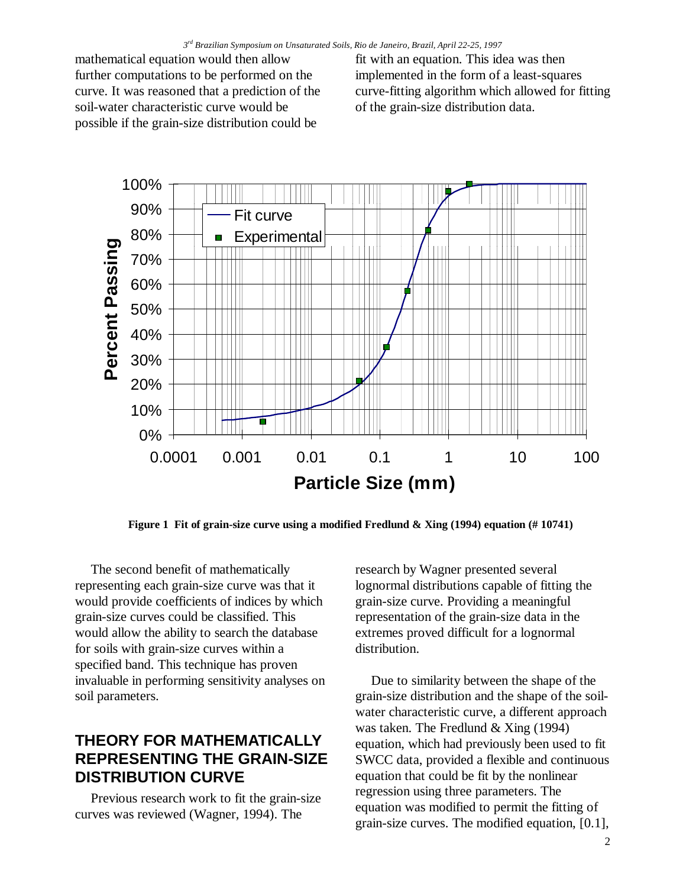mathematical equation would then allow further computations to be performed on the curve. It was reasoned that a prediction of the soil-water characteristic curve would be possible if the grain-size distribution could be

fit with an equation. This idea was then implemented in the form of a least-squares curve-fitting algorithm which allowed for fitting of the grain-size distribution data.



**Figure 1 Fit of grain-size curve using a modified Fredlund & Xing (1994) equation (# 10741)**

The second benefit of mathematically representing each grain-size curve was that it would provide coefficients of indices by which grain-size curves could be classified. This would allow the ability to search the database for soils with grain-size curves within a specified band. This technique has proven invaluable in performing sensitivity analyses on soil parameters.

#### **THEORY FOR MATHEMATICALLY REPRESENTING THE GRAIN-SIZE DISTRIBUTION CURVE**

Previous research work to fit the grain-size curves was reviewed (Wagner, 1994). The

research by Wagner presented several lognormal distributions capable of fitting the grain-size curve. Providing a meaningful representation of the grain-size data in the extremes proved difficult for a lognormal distribution.

Due to similarity between the shape of the grain-size distribution and the shape of the soilwater characteristic curve, a different approach was taken. The Fredlund & Xing (1994) equation, which had previously been used to fit SWCC data, provided a flexible and continuous equation that could be fit by the nonlinear regression using three parameters. The equation was modified to permit the fitting of grain-size curves. The modified equation, [0.1],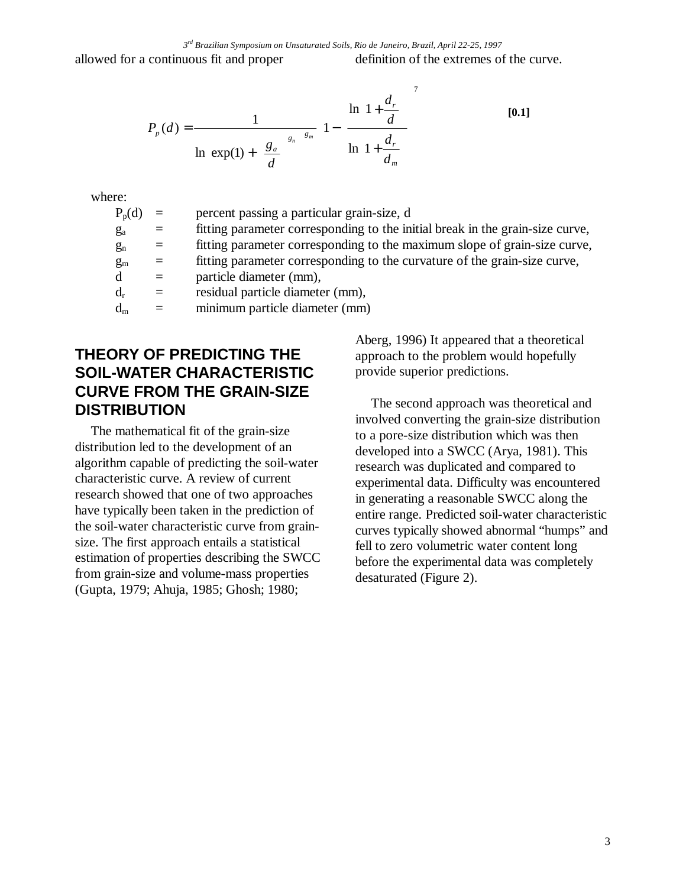allowed for a continuous fit and proper definition of the extremes of the curve.

$$
P_p(d) = \frac{1}{\ln\left[\exp(1) + \left(\frac{g_a}{d}\right)^{g_n}\right]^{g_m}} \left[1 - \left[\frac{\ln\left(1 + \frac{d_r}{d}\right)}{\ln\left(1 + \frac{d_r}{d_m}\right)}\right]^{7}\right]
$$
 [0.1]

where:

| $P_p(d)$    | $=$               | percent passing a particular grain-size, d                                    |
|-------------|-------------------|-------------------------------------------------------------------------------|
| $g_a$       | $=$               | fitting parameter corresponding to the initial break in the grain-size curve, |
| $g_n$       | $\equiv$          | fitting parameter corresponding to the maximum slope of grain-size curve,     |
| $g_{\rm m}$ | $\equiv$          | fitting parameter corresponding to the curvature of the grain-size curve,     |
| d           | $\equiv$ $\equiv$ | particle diameter (mm),                                                       |
| $d_r$       | $=$               | residual particle diameter (mm),                                              |
| $d_m$       | $\equiv$          | minimum particle diameter (mm)                                                |
|             |                   |                                                                               |

## **THEORY OF PREDICTING THE SOIL-WATER CHARACTERISTIC CURVE FROM THE GRAIN-SIZE DISTRIBUTION**

The mathematical fit of the grain-size distribution led to the development of an algorithm capable of predicting the soil-water characteristic curve. A review of current research showed that one of two approaches have typically been taken in the prediction of the soil-water characteristic curve from grainsize. The first approach entails a statistical estimation of properties describing the SWCC from grain-size and volume-mass properties (Gupta, 1979; Ahuja, 1985; Ghosh; 1980;

Aberg, 1996) It appeared that a theoretical approach to the problem would hopefully provide superior predictions.

The second approach was theoretical and involved converting the grain-size distribution to a pore-size distribution which was then developed into a SWCC (Arya, 1981). This research was duplicated and compared to experimental data. Difficulty was encountered in generating a reasonable SWCC along the entire range. Predicted soil-water characteristic curves typically showed abnormal "humps" and fell to zero volumetric water content long before the experimental data was completely desaturated (Figure 2).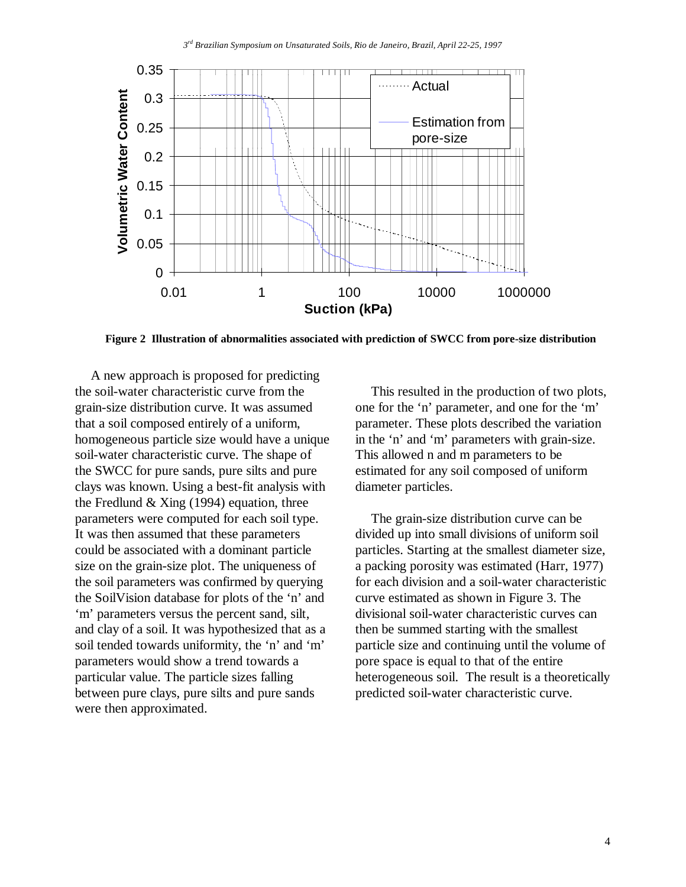

**Figure 2 Illustration of abnormalities associated with prediction of SWCC from pore-size distribution**

A new approach is proposed for predicting the soil-water characteristic curve from the grain-size distribution curve. It was assumed that a soil composed entirely of a uniform, homogeneous particle size would have a unique soil-water characteristic curve. The shape of the SWCC for pure sands, pure silts and pure clays was known. Using a best-fit analysis with the Fredlund  $& Xing (1994)$  equation, three parameters were computed for each soil type. It was then assumed that these parameters could be associated with a dominant particle size on the grain-size plot. The uniqueness of the soil parameters was confirmed by querying the SoilVision database for plots of the 'n' and 'm' parameters versus the percent sand, silt, and clay of a soil. It was hypothesized that as a soil tended towards uniformity, the 'n' and 'm' parameters would show a trend towards a particular value. The particle sizes falling between pure clays, pure silts and pure sands were then approximated.

This resulted in the production of two plots, one for the 'n' parameter, and one for the 'm' parameter. These plots described the variation in the 'n' and 'm' parameters with grain-size. This allowed n and m parameters to be estimated for any soil composed of uniform diameter particles.

The grain-size distribution curve can be divided up into small divisions of uniform soil particles. Starting at the smallest diameter size, a packing porosity was estimated (Harr, 1977) for each division and a soil-water characteristic curve estimated as shown in Figure 3. The divisional soil-water characteristic curves can then be summed starting with the smallest particle size and continuing until the volume of pore space is equal to that of the entire heterogeneous soil. The result is a theoretically predicted soil-water characteristic curve.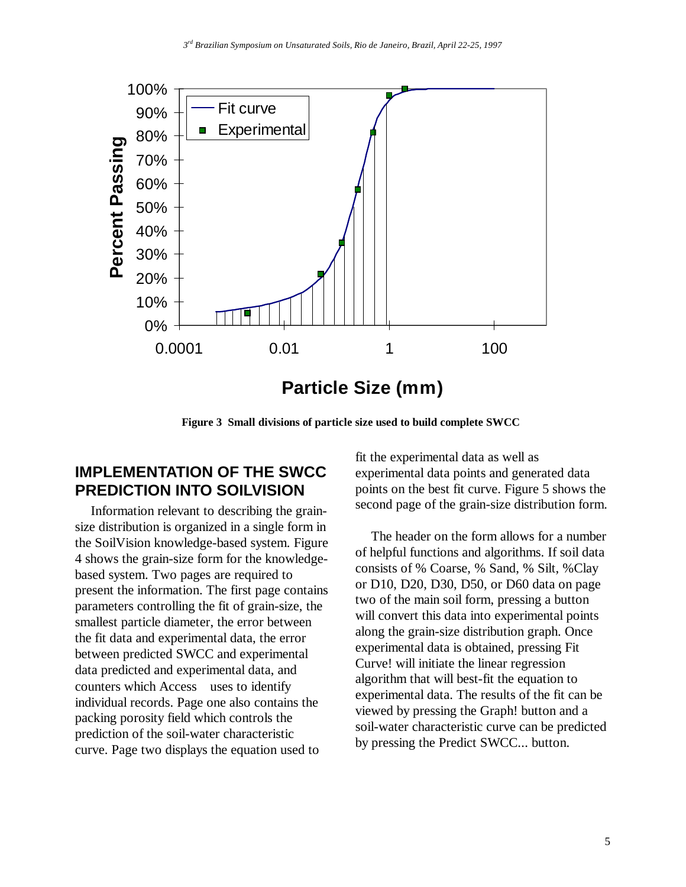

**Figure 3 Small divisions of particle size used to build complete SWCC**

#### **IMPLEMENTATION OF THE SWCC PREDICTION INTO SOILVISION**

Information relevant to describing the grainsize distribution is organized in a single form in the SoilVision knowledge-based system. Figure 4 shows the grain-size form for the knowledgebased system. Two pages are required to present the information. The first page contains parameters controlling the fit of grain-size, the smallest particle diameter, the error between the fit data and experimental data, the error between predicted SWCC and experimental data predicted and experimental data, and counters which Access<sup>®</sup> uses to identify individual records. Page one also contains the packing porosity field which controls the prediction of the soil-water characteristic curve. Page two displays the equation used to

fit the experimental data as well as experimental data points and generated data points on the best fit curve. Figure 5 shows the second page of the grain-size distribution form.

The header on the form allows for a number of helpful functions and algorithms. If soil data consists of % Coarse, % Sand, % Silt, %Clay or D10, D20, D30, D50, or D60 data on page two of the main soil form, pressing a button will convert this data into experimental points along the grain-size distribution graph. Once experimental data is obtained, pressing Fit Curve! will initiate the linear regression algorithm that will best-fit the equation to experimental data. The results of the fit can be viewed by pressing the Graph! button and a soil-water characteristic curve can be predicted by pressing the Predict SWCC... button.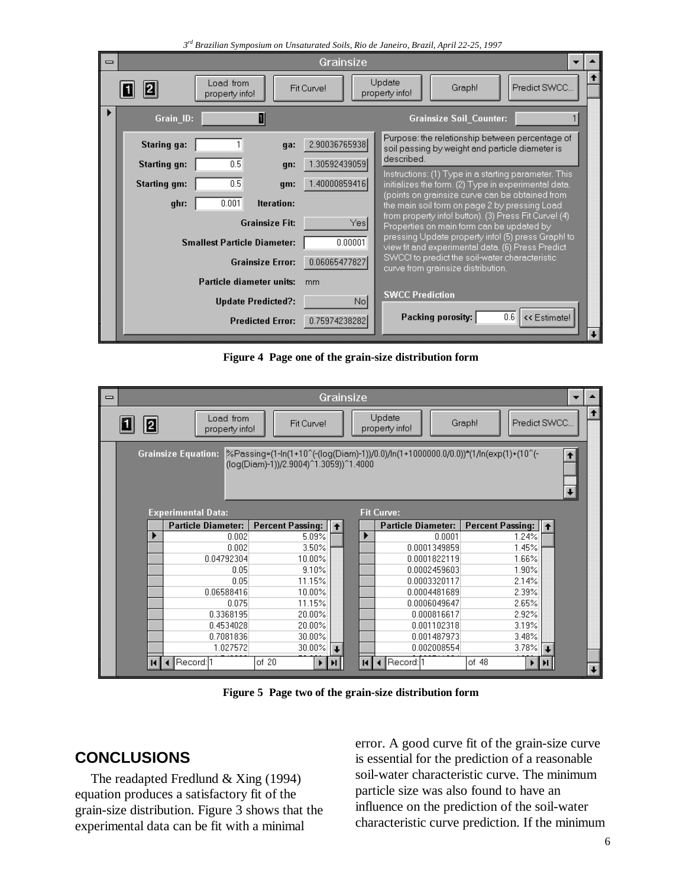|          | 3rd Brazilian Symposium on Unsaturated Soils, Rio de Janeiro, Brazil, April 22-25, 1997 |                                    |                                |                                                                                                         |  |  |  |  |  |  |  |
|----------|-----------------------------------------------------------------------------------------|------------------------------------|--------------------------------|---------------------------------------------------------------------------------------------------------|--|--|--|--|--|--|--|
| $\equiv$ | Grainsize                                                                               |                                    |                                |                                                                                                         |  |  |  |  |  |  |  |
|          |                                                                                         | Load from<br>property info!        | Fit Curve!                     | T<br>Update<br>Predict SWCC<br>Graph!<br>property info!                                                 |  |  |  |  |  |  |  |
|          | Grain_ID:                                                                               | 1                                  | <b>Grainsize Soil Counter:</b> |                                                                                                         |  |  |  |  |  |  |  |
|          | <b>Staring ga:</b>                                                                      | ga:                                | 2.90036765938                  | Purpose: the relationship between percentage of<br>soil passing by weight and particle diameter is      |  |  |  |  |  |  |  |
|          | <b>Starting gn:</b>                                                                     | 0.5<br>gn:                         | 1.30592439059                  | described.<br>Instructions: (1) Type in a starting parameter. This                                      |  |  |  |  |  |  |  |
|          | <b>Starting gm:</b>                                                                     | 0.5<br>gm:                         | 1.40000859416                  | initializes the form. (2) Type in experimental data.                                                    |  |  |  |  |  |  |  |
|          | ghr:                                                                                    | 0.001<br>Iteration:                |                                | (points on grainsize curve can be obtained from-<br>the main soil form on page 2 by pressing Load       |  |  |  |  |  |  |  |
|          |                                                                                         | <b>Grainsize Fit:</b>              | Yes                            | from property info! button). (3) Press Fit Curve! (4)<br>Properties on main form can be updated by      |  |  |  |  |  |  |  |
|          |                                                                                         | <b>Smallest Particle Diameter:</b> | 0.00001                        | pressing Update property info! (5) press Graph! to<br>view fit and experimental data. (6) Press Predict |  |  |  |  |  |  |  |
|          |                                                                                         | <b>Grainsize Error:</b>            | 0.06065477827                  | SWCC! to predict the soil-water characteristic<br>curve from grainsize distribution.                    |  |  |  |  |  |  |  |
|          |                                                                                         | Particle diameter units:           | mm                             |                                                                                                         |  |  |  |  |  |  |  |
|          |                                                                                         | <b>Update Predicted?:</b>          | Nol                            | <b>SWCC Prediction</b>                                                                                  |  |  |  |  |  |  |  |
|          |                                                                                         | <b>Predicted Error:</b>            | 0.75974238282                  | << Estimate!<br>Packing porosity:<br>0.6                                                                |  |  |  |  |  |  |  |

**Figure 4 Page one of the grain-size distribution form**

| $\equiv$ | Grainsize                                                                                                                                                                                |                                                |                           |                         |  |              |                           |                         |  |                      |  |
|----------|------------------------------------------------------------------------------------------------------------------------------------------------------------------------------------------|------------------------------------------------|---------------------------|-------------------------|--|--------------|---------------------------|-------------------------|--|----------------------|--|
|          | Update<br>Load from<br>$ {\bf z} $<br>Graph!<br>Predict SWCC<br>Fit Curvel<br>property info!<br>property info!                                                                           |                                                |                           |                         |  |              |                           |                         |  | $\bullet$            |  |
|          | %Passing=(1-ln(1+10^(-(log(Diam)-1))/0.0)/ln(1+1000000.0/0.0))*(1/ln(exp(1)+(10^(-<br><b>Grainsize Equation:</b><br>$\uparrow$<br>(log(Diam)-1))/2.9004)^1.3059))^1.4000<br>$\downarrow$ |                                                |                           |                         |  |              |                           |                         |  |                      |  |
|          |                                                                                                                                                                                          | <b>Fit Curve:</b><br><b>Experimental Data:</b> |                           |                         |  |              |                           |                         |  |                      |  |
|          |                                                                                                                                                                                          |                                                | <b>Particle Diameter:</b> | <b>Percent Passing:</b> |  |              | <b>Particle Diameter:</b> | <b>Percent Passing:</b> |  |                      |  |
|          |                                                                                                                                                                                          |                                                | 0.002                     | 5.09%                   |  |              | 0.0001                    | 1.24%                   |  |                      |  |
|          |                                                                                                                                                                                          |                                                | 0.002                     | 3.50%                   |  |              | 0.0001349859              | 1.45%                   |  |                      |  |
|          |                                                                                                                                                                                          |                                                | 0.04792304                | 10.00%                  |  |              | 0.0001822119              | 1.66%                   |  |                      |  |
|          |                                                                                                                                                                                          |                                                | 0.05                      | 9.10%                   |  |              | 0.0002459603              | 1.90%                   |  |                      |  |
|          |                                                                                                                                                                                          |                                                | 0.05                      | 11.15%                  |  |              | 0.0003320117              | 2.14%                   |  |                      |  |
|          |                                                                                                                                                                                          |                                                | 0.06588416                | 10.00%                  |  |              | 0.0004481689              | 2.39%                   |  |                      |  |
|          |                                                                                                                                                                                          |                                                | 0.075                     | 11.15%                  |  |              | 0.0006049647              | 2.65%                   |  |                      |  |
|          |                                                                                                                                                                                          |                                                | 0.3368195                 | 20.00%                  |  |              | 0.000816617               | 2.92%                   |  |                      |  |
|          |                                                                                                                                                                                          |                                                | 0.4534028                 | 20.00%                  |  |              | 0.001102318               | 3.19%                   |  |                      |  |
|          |                                                                                                                                                                                          |                                                | 0.7081836                 | 30.00%                  |  |              | 0.001487973               | 3.48%                   |  |                      |  |
|          |                                                                                                                                                                                          |                                                | 1.027572                  | 30.00%                  |  |              | 0.002008554               | 3.78%                   |  |                      |  |
|          |                                                                                                                                                                                          | Record: 1                                      |                           | of $20$                 |  | $\mathbf{H}$ | Record: 1                 | of 48                   |  | $\ddot{\phantom{1}}$ |  |

**Figure 5 Page two of the grain-size distribution form**

# **CONCLUSIONS**

The readapted Fredlund & Xing (1994) equation produces a satisfactory fit of the grain-size distribution. Figure 3 shows that the experimental data can be fit with a minimal

error. A good curve fit of the grain-size curve is essential for the prediction of a reasonable soil-water characteristic curve. The minimum particle size was also found to have an influence on the prediction of the soil-water characteristic curve prediction. If the minimum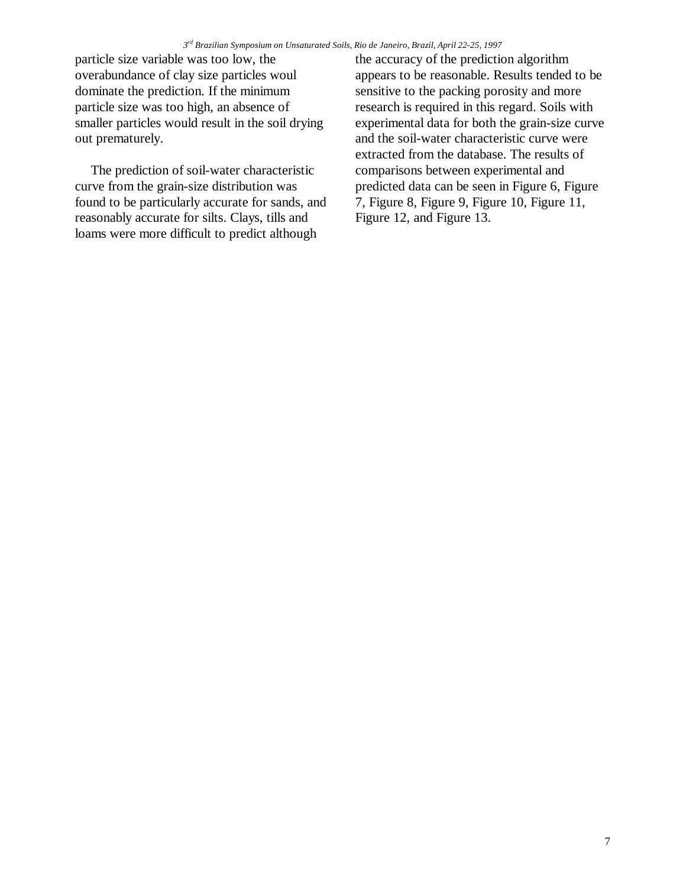particle size variable was too low, the overabundance of clay size particles woul dominate the prediction. If the minimum particle size was too high, an absence of smaller particles would result in the soil drying out prematurely.

The prediction of soil-water characteristic curve from the grain-size distribution was found to be particularly accurate for sands, and reasonably accurate for silts. Clays, tills and loams were more difficult to predict although

the accuracy of the prediction algorithm appears to be reasonable. Results tended to be sensitive to the packing porosity and more research is required in this regard. Soils with experimental data for both the grain-size curve and the soil-water characteristic curve were extracted from the database. The results of comparisons between experimental and predicted data can be seen in Figure 6, Figure 7, Figure 8, Figure 9, Figure 10, Figure 11, Figure 12, and Figure 13.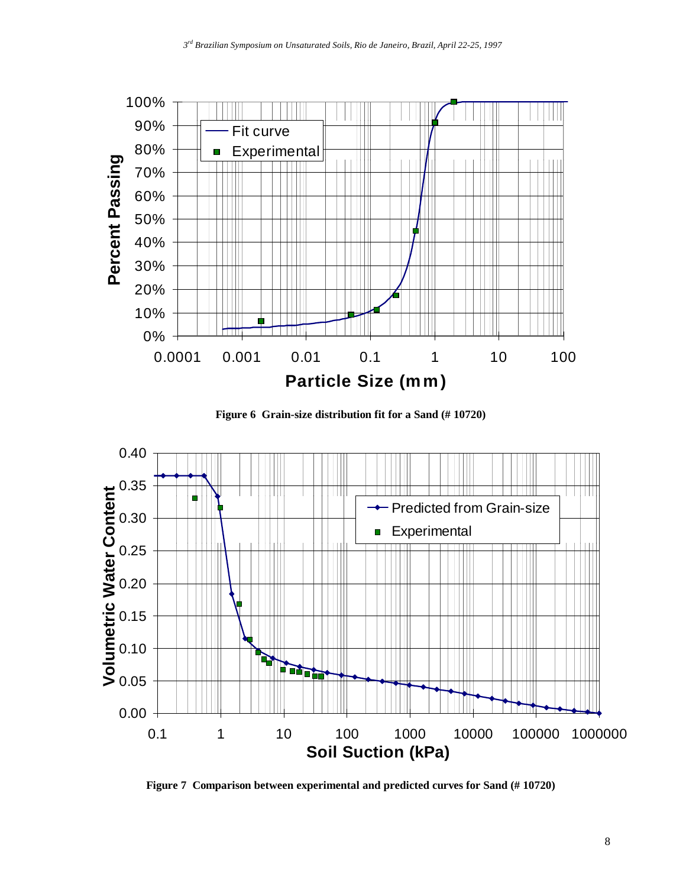

**Figure 6 Grain-size distribution fit for a Sand (# 10720)**



**Figure 7 Comparison between experimental and predicted curves for Sand (# 10720)**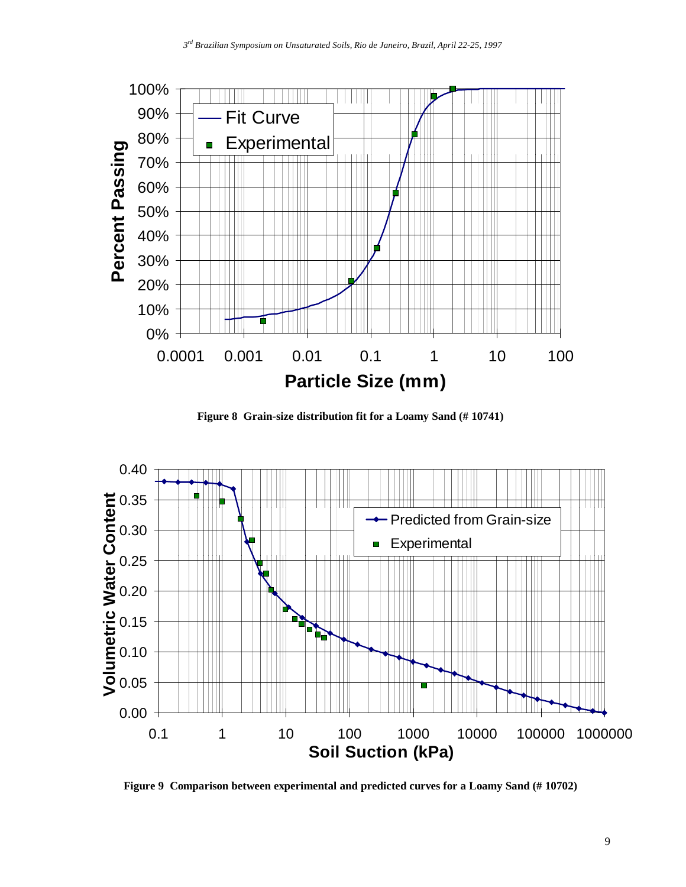

**Figure 8 Grain-size distribution fit for a Loamy Sand (# 10741)**



**Figure 9 Comparison between experimental and predicted curves for a Loamy Sand (# 10702)**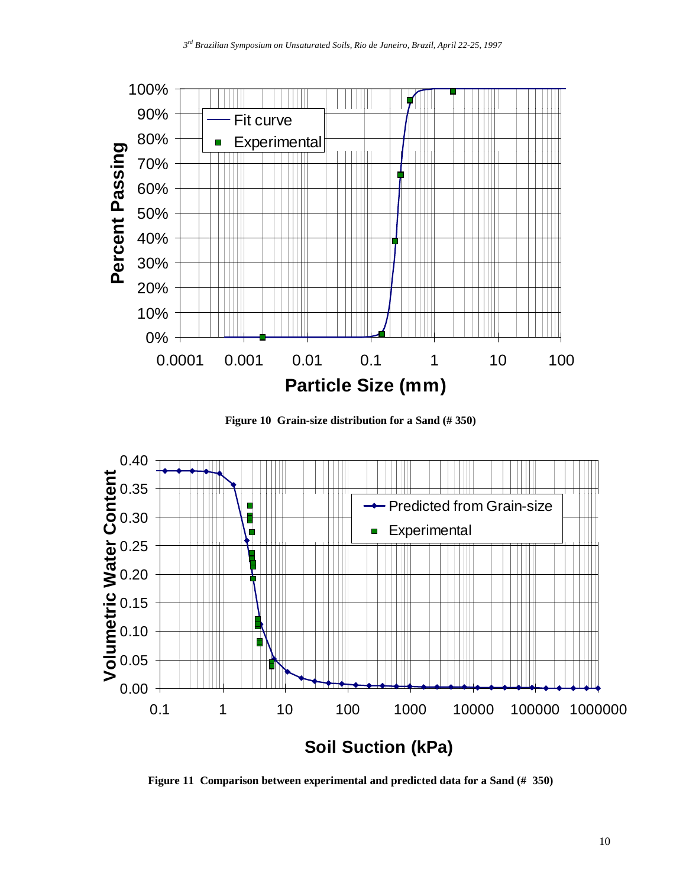





**Figure 11 Comparison between experimental and predicted data for a Sand (# 350)**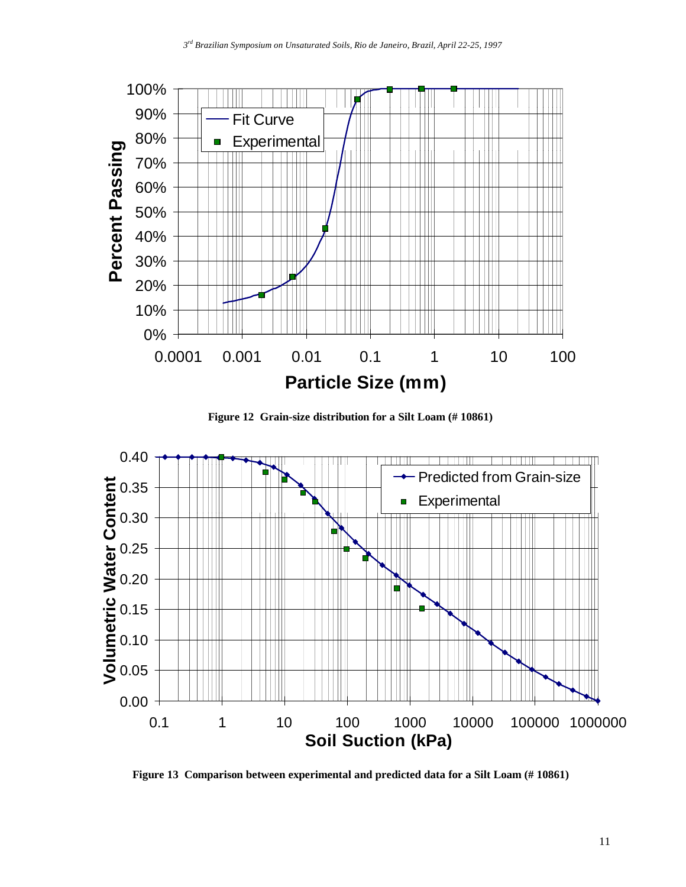

**Figure 12 Grain-size distribution for a Silt Loam (# 10861)**



**Figure 13 Comparison between experimental and predicted data for a Silt Loam (# 10861)**